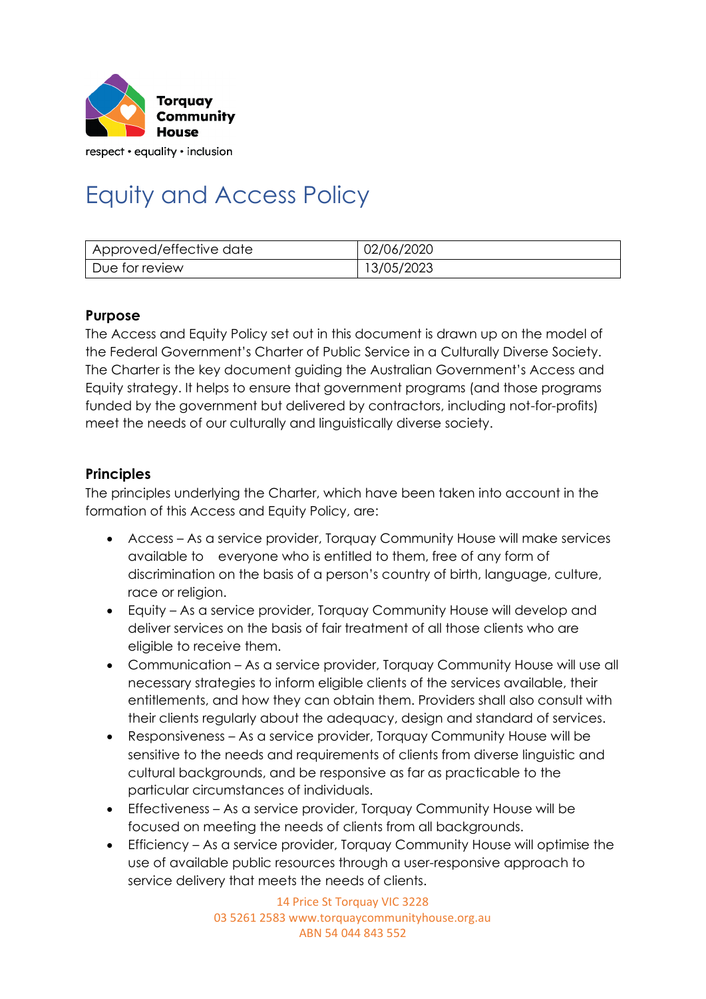

respect • equality • inclusion

# Equity and Access Policy

| Approved/effective date | 02/06/2020 |
|-------------------------|------------|
| Due for review          | 13/05/2023 |

#### **Purpose**

The Access and Equity Policy set out in this document is drawn up on the model of the Federal Government's Charter of Public Service in a Culturally Diverse Society. The Charter is the key document guiding the Australian Government's Access and Equity strategy. It helps to ensure that government programs (and those programs funded by the government but delivered by contractors, including not-for-profits) meet the needs of our culturally and linguistically diverse society.

#### **Principles**

The principles underlying the Charter, which have been taken into account in the formation of this Access and Equity Policy, are:

- Access As a service provider, Torquay Community House will make services available to everyone who is entitled to them, free of any form of discrimination on the basis of a person's country of birth, language, culture, race or religion.
- Equity As a service provider, Torquay Community House will develop and deliver services on the basis of fair treatment of all those clients who are eligible to receive them.
- Communication As a service provider, Torquay Community House will use all necessary strategies to inform eligible clients of the services available, their entitlements, and how they can obtain them. Providers shall also consult with their clients regularly about the adequacy, design and standard of services.
- Responsiveness As a service provider, Torquay Community House will be sensitive to the needs and requirements of clients from diverse linguistic and cultural backgrounds, and be responsive as far as practicable to the particular circumstances of individuals.
- Effectiveness As a service provider, Torquay Community House will be focused on meeting the needs of clients from all backgrounds.
- Efficiency As a service provider, Torquay Community House will optimise the use of available public resources through a user-responsive approach to service delivery that meets the needs of clients.

14 Price St Torquay VIC 3228 03 5261 2583 www.torquaycommunityhouse.org.au ABN 54 044 843 552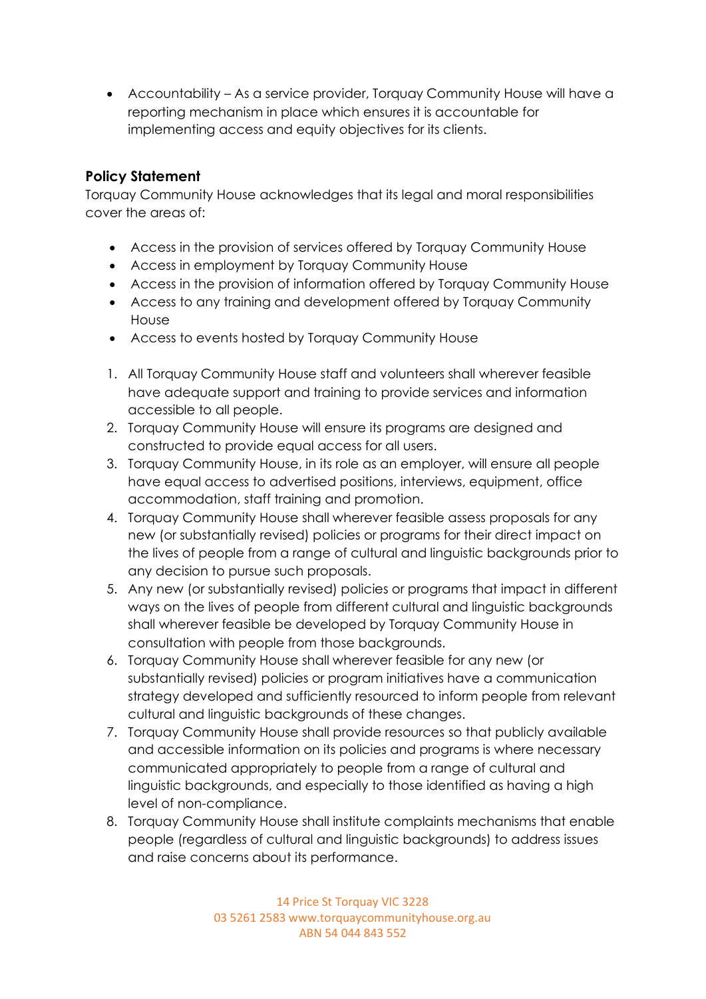• Accountability – As a service provider, Torquay Community House will have a reporting mechanism in place which ensures it is accountable for implementing access and equity objectives for its clients.

## **Policy Statement**

Torquay Community House acknowledges that its legal and moral responsibilities cover the areas of:

- Access in the provision of services offered by Torquay Community House
- Access in employment by Torquay Community House
- Access in the provision of information offered by Torquay Community House
- Access to any training and development offered by Torquay Community House
- Access to events hosted by Torquay Community House
- 1. All Torquay Community House staff and volunteers shall wherever feasible have adequate support and training to provide services and information accessible to all people.
- 2. Torquay Community House will ensure its programs are designed and constructed to provide equal access for all users.
- 3. Torquay Community House, in its role as an employer, will ensure all people have equal access to advertised positions, interviews, equipment, office accommodation, staff training and promotion.
- 4. Torquay Community House shall wherever feasible assess proposals for any new (or substantially revised) policies or programs for their direct impact on the lives of people from a range of cultural and linguistic backgrounds prior to any decision to pursue such proposals.
- 5. Any new (or substantially revised) policies or programs that impact in different ways on the lives of people from different cultural and linguistic backgrounds shall wherever feasible be developed by Torquay Community House in consultation with people from those backgrounds.
- 6. Torquay Community House shall wherever feasible for any new (or substantially revised) policies or program initiatives have a communication strategy developed and sufficiently resourced to inform people from relevant cultural and linguistic backgrounds of these changes.
- 7. Torquay Community House shall provide resources so that publicly available and accessible information on its policies and programs is where necessary communicated appropriately to people from a range of cultural and linguistic backgrounds, and especially to those identified as having a high level of non-compliance.
- 8. Torquay Community House shall institute complaints mechanisms that enable people (regardless of cultural and linguistic backgrounds) to address issues and raise concerns about its performance.

14 Price St Torquay VIC 3228 03 5261 2583 www.torquaycommunityhouse.org.au ABN 54 044 843 552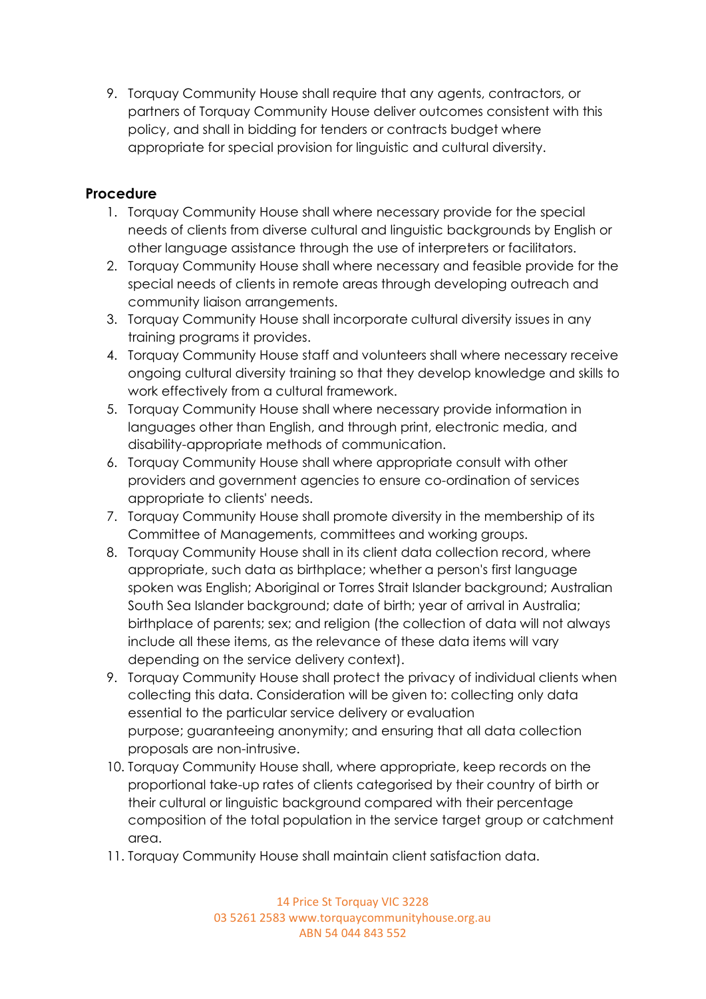9. Torquay Community House shall require that any agents, contractors, or partners of Torquay Community House deliver outcomes consistent with this policy, and shall in bidding for tenders or contracts budget where appropriate for special provision for linguistic and cultural diversity.

## **Procedure**

- 1. Torquay Community House shall where necessary provide for the special needs of clients from diverse cultural and linguistic backgrounds by English or other language assistance through the use of interpreters or facilitators.
- 2. Torquay Community House shall where necessary and feasible provide for the special needs of clients in remote areas through developing outreach and community liaison arrangements.
- 3. Torquay Community House shall incorporate cultural diversity issues in any training programs it provides.
- 4. Torquay Community House staff and volunteers shall where necessary receive ongoing cultural diversity training so that they develop knowledge and skills to work effectively from a cultural framework.
- 5. Torquay Community House shall where necessary provide information in languages other than English, and through print, electronic media, and disability-appropriate methods of communication.
- 6. Torquay Community House shall where appropriate consult with other providers and government agencies to ensure co-ordination of services appropriate to clients' needs.
- 7. Torquay Community House shall promote diversity in the membership of its Committee of Managements, committees and working groups.
- 8. Torquay Community House shall in its client data collection record, where appropriate, such data as birthplace; whether a person's first language spoken was English; Aboriginal or Torres Strait Islander background; Australian South Sea Islander background; date of birth; year of arrival in Australia; birthplace of parents; sex; and religion (the collection of data will not always include all these items, as the relevance of these data items will vary depending on the service delivery context).
- 9. Torquay Community House shall protect the privacy of individual clients when collecting this data. Consideration will be given to: collecting only data essential to the particular service delivery or evaluation purpose; guaranteeing anonymity; and ensuring that all data collection proposals are non-intrusive.
- 10. Torquay Community House shall, where appropriate, keep records on the proportional take-up rates of clients categorised by their country of birth or their cultural or linguistic background compared with their percentage composition of the total population in the service target group or catchment area.
- 11. Torquay Community House shall maintain client satisfaction data.